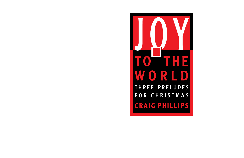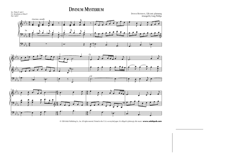## DIVINUM MYSTERIUM



© 1996 Selah Publishing Co., Inc. All rights reserved. Printed in the U.S.A. on recycled paper. *It is illegal to photocopy this music.* **www.selahpub.com**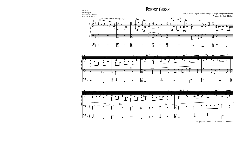## FOREST GREEN







Phillips–Joy to the World: Three Preludes for Christmas–5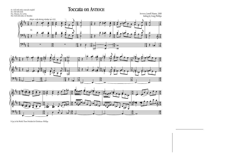Toccata on ANTIOCH



#



ANTIOCH, Lowell Mason, 1848





 $\frac{1}{\sqrt{2}}$ #

 $\frac{1}{\sqrt{2}}$ 

#

&